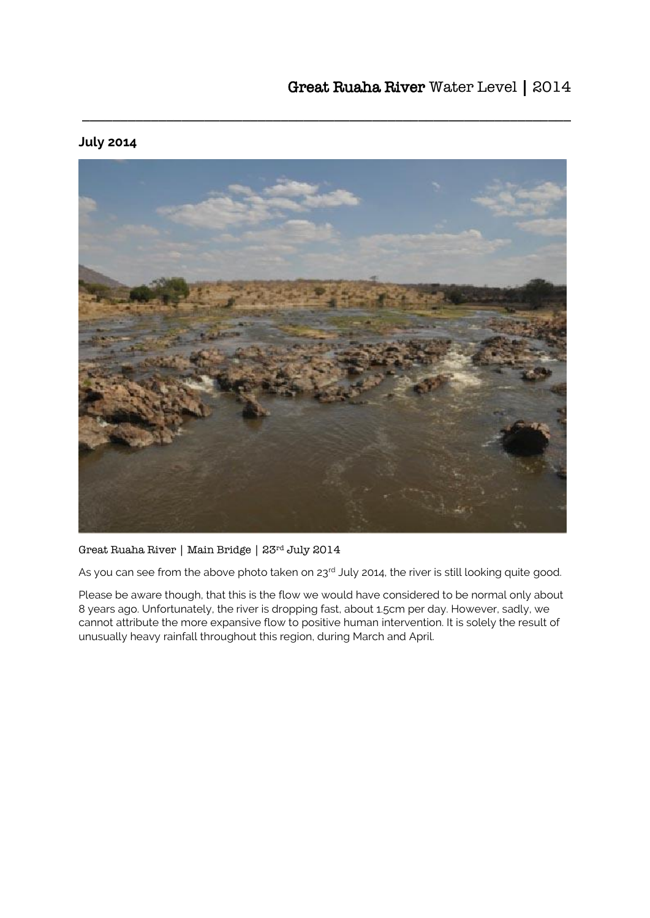

\_\_\_\_\_\_\_\_\_\_\_\_\_\_\_\_\_\_\_\_\_\_\_\_\_\_\_\_\_\_\_\_\_\_\_\_\_\_\_\_\_\_\_\_\_\_\_\_\_\_\_\_\_\_\_\_\_\_\_\_\_\_\_\_

## **July 2014**

Great Ruaha River | Main Bridge | 23rd July 2014

As you can see from the above photo taken on 23rd July 2014, the river is still looking quite good.

Please be aware though, that this is the flow we would have considered to be normal only about 8 years ago. Unfortunately, the river is dropping fast, about 1.5cm per day. However, sadly, we cannot attribute the more expansive flow to positive human intervention. It is solely the result of unusually heavy rainfall throughout this region, during March and April.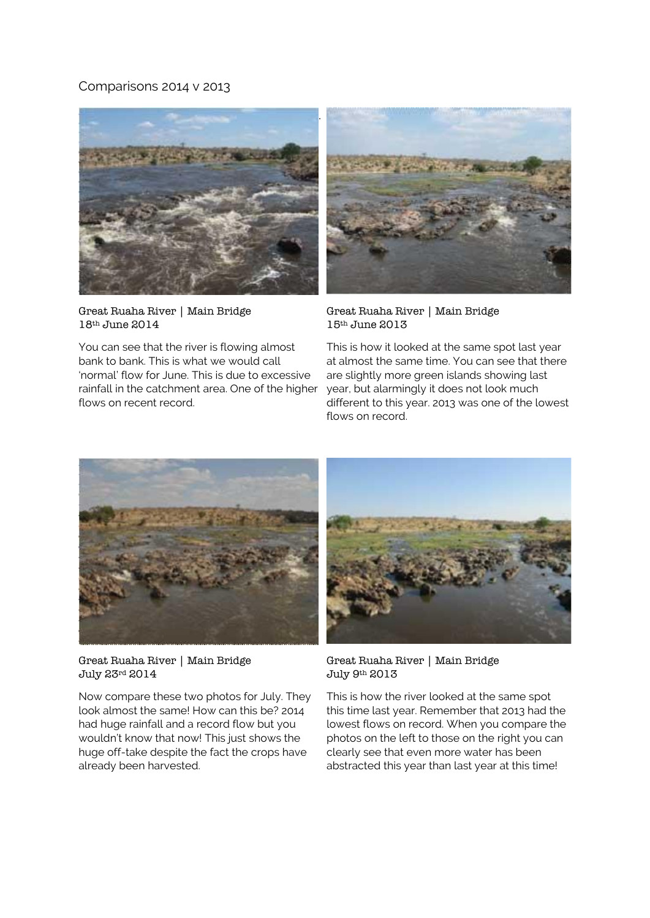## Comparisons 2014 v 2013



Great Ruaha River | Main Bridge 18th June 2014

You can see that the river is flowing almost bank to bank. This is what we would call 'normal' flow for June. This is due to excessive rainfall in the catchment area. One of the higher flows on recent record.



Great Ruaha River | Main Bridge 15th June 2013

This is how it looked at the same spot last year at almost the same time. You can see that there are slightly more green islands showing last year, but alarmingly it does not look much different to this year. 2013 was one of the lowest flows on record.



Great Ruaha River | Main Bridge July 23rd 2014

Now compare these two photos for July. They look almost the same! How can this be? 2014 had huge rainfall and a record flow but you wouldn't know that now! This just shows the huge off-take despite the fact the crops have already been harvested.



Great Ruaha River | Main Bridge July 9th 2013

This is how the river looked at the same spot this time last year. Remember that 2013 had the lowest flows on record. When you compare the photos on the left to those on the right you can clearly see that even more water has been abstracted this year than last year at this time!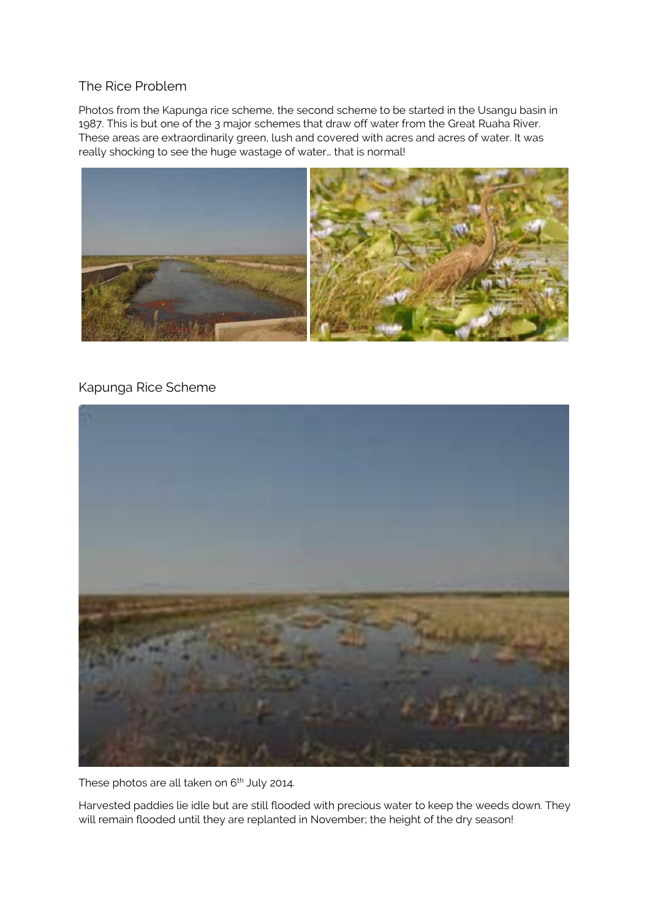## The Rice Problem

Photos from the Kapunga rice scheme, the second scheme to be started in the Usangu basin in 1987. This is but one of the 3 major schemes that draw off water from the Great Ruaha River. These areas are extraordinarily green, lush and covered with acres and acres of water. It was really shocking to see the huge wastage of water… that is normal!



## Kapunga Rice Scheme



These photos are all taken on  $6<sup>th</sup>$  July 2014.

Harvested paddies lie idle but are still flooded with precious water to keep the weeds down. They will remain flooded until they are replanted in November; the height of the dry season!